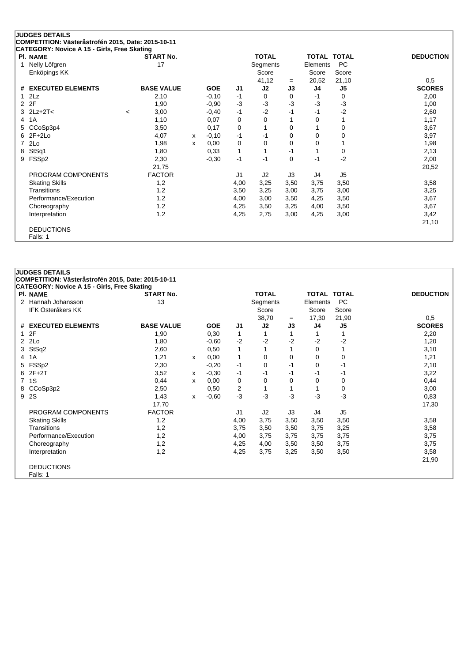## **JUDGES DETAILS COMPETITION: Västeråstrofén 2015, Date: 2015-10-11 CATEGORY: Novice A 15 - Girls, Free Skating**

| PI. NAME              |         | START No.         |   |            |      | TOTAL    |      | TOTAL    | <b>TOTAL</b>   | <b>DEDUCTION</b> |
|-----------------------|---------|-------------------|---|------------|------|----------|------|----------|----------------|------------------|
| Nelly Löfgren         |         | 17                |   |            |      | Segments |      | Elements | PC             |                  |
| Enköpings KK          |         |                   |   |            |      | Score    |      | Score    | Score          |                  |
|                       |         |                   |   |            |      | 41,12    | $=$  | 20,52    | 21,10          | 0,5              |
| # EXECUTED ELEMENTS   |         | <b>BASE VALUE</b> |   | <b>GOE</b> | J1   | J2       | J3   | J4       | J <sub>5</sub> | <b>SCORES</b>    |
| $1$ $2Lz$             |         | 2,10              |   | $-0,10$    | $-1$ | 0        | 0    | -1       | 0              | 2,00             |
| 2 2F                  |         | 1,90              |   | $-0,90$    | $-3$ | $-3$     | $-3$ | $-3$     | $-3$           | 1,00             |
| $3$ $2Lz+2T<$         | $\,<\,$ | 3,00              |   | $-0,40$    | $-1$ | $-2$     | -1   | $-1$     | $-2$           | 2,60             |
| 4 1 A                 |         | 1,10              |   | 0,07       | 0    | 0        |      | 0        |                | 1,17             |
| 5 CCoSp3p4            |         | 3,50              |   | 0,17       | 0    | 1        | 0    |          | 0              | 3,67             |
| $6$ 2F+2Lo            |         | 4,07              | x | $-0,10$    | $-1$ | $-1$     | 0    | 0        | 0              | 3,97             |
| 7 2Lo                 |         | 1,98              | x | 0,00       | 0    | 0        | 0    | 0        |                | 1,98             |
| 8 StSq1               |         | 1,80              |   | 0,33       | 1    | 1        | -1   |          | 0              | 2,13             |
| 9 FSSp2               |         | 2,30              |   | $-0,30$    | $-1$ | $-1$     | 0    | $-1$     | $-2$           | 2,00             |
|                       |         | 21,75             |   |            |      |          |      |          |                | 20,52            |
| PROGRAM COMPONENTS    |         | <b>FACTOR</b>     |   |            | J1   | J2       | J3   | J4       | J5             |                  |
| <b>Skating Skills</b> |         | 1,2               |   |            | 4,00 | 3,25     | 3,50 | 3,75     | 3,50           | 3,58             |
| <b>Transitions</b>    |         | 1,2               |   |            | 3,50 | 3,25     | 3,00 | 3,75     | 3,00           | 3,25             |
| Performance/Execution |         | 1,2               |   |            | 4,00 | 3,00     | 3,50 | 4,25     | 3,50           | 3,67             |
| Choreography          |         | 1,2               |   |            | 4,25 | 3,50     | 3,25 | 4,00     | 3,50           | 3,67             |
| Interpretation        |         | 1,2               |   |            | 4,25 | 2,75     | 3,00 | 4,25     | 3,00           | 3,42             |
|                       |         |                   |   |            |      |          |      |          |                | 21,10            |
| <b>DEDUCTIONS</b>     |         |                   |   |            |      |          |      |          |                |                  |
| Falls: 1              |         |                   |   |            |      |          |      |          |                |                  |

## **JUDGES DETAILS COMPETITION: Västeråstrofén 2015, Date: 2015-10-11 CATEGORY: Novice A 15 - Girls, Free Skating Pl. NAME START No. TOTAL TOTAL TOTAL DEDUCTION** 2 Hannah Johansson **13** 13 Segments Elements PC **IFK Österåkers KK Score Score** Score Score Score Score Score Score Score Score Score Score Score Score Score Score Score Score Score Score Score Score Score Score Score Score Score Score Score Score Score Score Score Scor 38,70 <sup>=</sup> 17,30 21,90 0,5 **# EXECUTED ELEMENTS BASE VALUE GOE J1 J2 J3 J4 J5 SCORES** 1 2F 1,90 0,30 1 1 1 1 1 2,20 2 2Lo 1,80 -0,60 -2 -2 -2 -2 -2 1,20 3 StSq2 2,60 0,50 1 1 1 0 1 3,10 4 1A 1,21 <sup>x</sup> 0,00 1 0 0 0 0 1,21 5 FSSp2 2,30 -0,20 -1 0 -1 0 -1 2,10 6 2F+2T 3,52 <sup>x</sup> -0,30 -1 -1 -1 -1 -1 3,22 7 1S 0,44 <sup>x</sup> 0,00 0 0 0 0 0 0,44 8 CCoSp3p2 2,50 0,50 2 1 1 1 0 3,00 9 2S 1,43 <sup>x</sup> -0,60 -3 -3 -3 -3 -3 0,83 17,70 17,30 PROGRAM COMPONENTS FACTOR J1 J2 J3 J4 J5 Skating Skills 1,2 4,00 3,75 3,50 3,50 3,50 3,58 Transitions 1,2 3,75 3,50 3,75 3,75 3,25 3,58 Performance/Execution 1,2 1,2 4,00 3,75 3,75 3,75 3,75 3,75 3,75 3,75 Choreography 1,2 4,25 4,00 3,50 3,50 3,75 3,75 Interpretation 1,2 4,25 3,75 3,25 3,50 3,50 3,58 21,90 DEDUCTIONS Falls: 1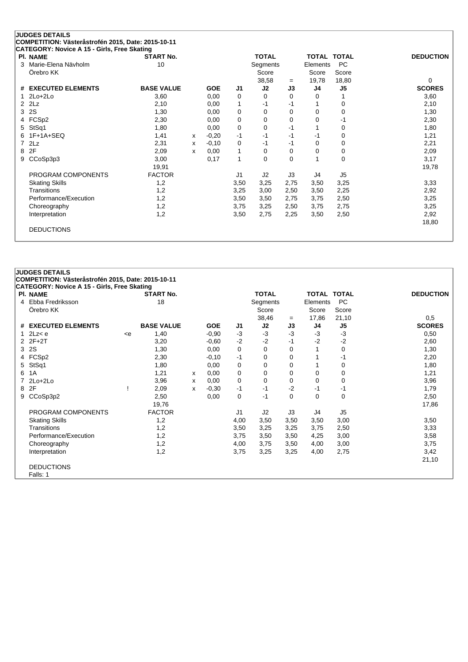| <b>PI. NAME</b>               | <b>START No.</b>  |   |            |              | <b>TOTAL</b> |          | <b>TOTAL TOTAL</b> |                | <b>DEDUCTION</b> |
|-------------------------------|-------------------|---|------------|--------------|--------------|----------|--------------------|----------------|------------------|
| Marie-Elena Nävholm<br>3      | 10                |   |            |              | Segments     |          | Elements           | <b>PC</b>      |                  |
| Örebro KK                     |                   |   |            |              | Score        |          | Score              | Score          |                  |
|                               |                   |   |            |              | 38,58        | $=$      | 19,78              | 18,80          | 0                |
| <b>EXECUTED ELEMENTS</b><br># | <b>BASE VALUE</b> |   | <b>GOE</b> | J1           | J2           | J3       | J <sub>4</sub>     | J <sub>5</sub> | <b>SCORES</b>    |
| $2Lo+2Lo$                     | 3,60              |   | 0,00       | 0            | $\Omega$     | 0        | 0                  | 1              | 3,60             |
| 2Lz<br>2                      | 2,10              |   | 0.00       | $\mathbf 1$  | -1           | -1       |                    | 0              | 2,10             |
| 2S<br>3                       | 1,30              |   | 0,00       | 0            | 0            | $\Omega$ | $\Omega$           | 0              | 1,30             |
| FCSp2<br>4                    | 2,30              |   | 0,00       | $\mathbf 0$  | $\Omega$     | 0        | $\Omega$           | -1             | 2,30             |
| StSq1<br>5                    | 1,80              |   | 0,00       | 0            | $\Omega$     | $-1$     |                    | 0              | 1,80             |
| $1F+1A+SEQ$<br>6              | 1,41              | X | $-0,20$    | $-1$         | $-1$         | $-1$     | $-1$               | 0              | 1,21             |
| 2Lz<br>7                      | 2,31              | x | $-0,10$    | 0            | $-1$         | -1       | $\Omega$           | 0              | 2,21             |
| 2F<br>8                       | 2,09              | x | 0,00       | 1            | $\Omega$     | $\Omega$ | 0                  | $\mathbf 0$    | 2,09             |
| CCoSp3p3<br>9                 | 3,00              |   | 0,17       | $\mathbf{1}$ | $\Omega$     | 0        | 1                  | $\mathbf 0$    | 3,17             |
|                               | 19,91             |   |            |              |              |          |                    |                | 19,78            |
| PROGRAM COMPONENTS            | <b>FACTOR</b>     |   |            | J1           | J2           | J3       | J4                 | J <sub>5</sub> |                  |
| <b>Skating Skills</b>         | 1,2               |   |            | 3,50         | 3,25         | 2,75     | 3,50               | 3,25           | 3,33             |
| Transitions                   | 1,2               |   |            | 3,25         | 3,00         | 2,50     | 3,50               | 2,25           | 2,92             |
| Performance/Execution         | 1,2               |   |            | 3,50         | 3,50         | 2,75     | 3,75               | 2,50           | 3,25             |
| Choreography                  | 1,2               |   |            | 3,75         | 3,25         | 2,50     | 3,75               | 2,75           | 3,25             |
| Interpretation                | 1,2               |   |            | 3,50         | 2,75         | 2,25     | 3,50               | 2,50           | 2,92             |
|                               |                   |   |            |              |              |          |                    |                | 18,80            |

## **JUDGES DETAILS**

**COMPETITION: Västeråstrofén 2015, Date: 2015-10-11**

| <b>CATEGORY: Novice A 15 - Girls, Free Skating</b> |     |                   |   |            |      |              |      |             |                |                  |
|----------------------------------------------------|-----|-------------------|---|------------|------|--------------|------|-------------|----------------|------------------|
| <b>PI. NAME</b>                                    |     | <b>START No.</b>  |   |            |      | <b>TOTAL</b> |      | TOTAL TOTAL |                | <b>DEDUCTION</b> |
| 4 Ebba Fredriksson                                 |     | 18                |   |            |      | Segments     |      | Elements    | <b>PC</b>      |                  |
| Örebro KK                                          |     |                   |   |            |      | Score        |      | Score       | Score          |                  |
|                                                    |     |                   |   |            |      | 38,46        | $=$  | 17,86       | 21,10          | 0,5              |
| # EXECUTED ELEMENTS                                |     | <b>BASE VALUE</b> |   | <b>GOE</b> | J1   | J2           | J3   | J4          | J <sub>5</sub> | <b>SCORES</b>    |
| 1 $2Lz < e$                                        | < e | 1,40              |   | $-0.90$    | -3   | $-3$         | $-3$ | $-3$        | $-3$           | 0,50             |
| $2Z + 2T$                                          |     | 3,20              |   | $-0,60$    | $-2$ | $-2$         | -1   | $-2$        | $-2$           | 2,60             |
| 3 2S                                               |     | 1,30              |   | 0,00       | 0    | 0            | 0    |             | 0              | 1,30             |
| 4 FCSp2                                            |     | 2,30              |   | $-0,10$    | $-1$ | 0            | 0    |             | -1             | 2,20             |
| 5 StSq1                                            |     | 1,80              |   | 0,00       | 0    | 0            | 0    |             | 0              | 1,80             |
| 6 1A                                               |     | 1,21              | x | 0,00       | 0    | 0            | 0    | 0           | 0              | 1,21             |
| 7 2Lo+2Lo                                          |     | 3,96              | x | 0,00       | 0    | 0            | 0    | 0           | 0              | 3,96             |
| 8 2F                                               |     | 2,09              | x | $-0,30$    | -1   | $-1$         | -2   | -1          | -1             | 1,79             |
| 9 CCoSp3p2                                         |     | 2,50              |   | 0,00       | 0    | $-1$         | 0    | $\mathbf 0$ | 0              | 2,50             |
|                                                    |     | 19,76             |   |            |      |              |      |             |                | 17,86            |
| PROGRAM COMPONENTS                                 |     | <b>FACTOR</b>     |   |            | J1   | J2           | J3   | J4          | J <sub>5</sub> |                  |
| <b>Skating Skills</b>                              |     | 1,2               |   |            | 4,00 | 3,50         | 3,50 | 3,50        | 3,00           | 3,50             |
| Transitions                                        |     | 1,2               |   |            | 3,50 | 3,25         | 3,25 | 3,75        | 2,50           | 3,33             |
| Performance/Execution                              |     | 1,2               |   |            | 3,75 | 3,50         | 3,50 | 4,25        | 3,00           | 3,58             |
| Choreography                                       |     | 1,2               |   |            | 4,00 | 3,75         | 3,50 | 4,00        | 3,00           | 3,75             |
| Interpretation                                     |     | 1,2               |   |            | 3,75 | 3,25         | 3,25 | 4,00        | 2,75           | 3,42             |
|                                                    |     |                   |   |            |      |              |      |             |                | 21,10            |
| <b>DEDUCTIONS</b>                                  |     |                   |   |            |      |              |      |             |                |                  |
| Falls: 1                                           |     |                   |   |            |      |              |      |             |                |                  |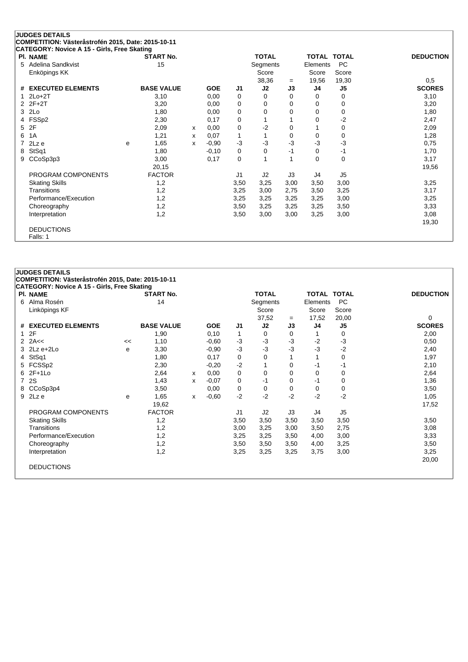|   | <b>JUDGES DETAILS</b>                                                                             |   |                   |   |            |                |                |          |             |                |                  |
|---|---------------------------------------------------------------------------------------------------|---|-------------------|---|------------|----------------|----------------|----------|-------------|----------------|------------------|
|   | COMPETITION: Västeråstrofén 2015, Date: 2015-10-11<br>CATEGORY: Novice A 15 - Girls, Free Skating |   |                   |   |            |                |                |          |             |                |                  |
|   | PI. NAME                                                                                          |   | <b>START No.</b>  |   |            |                | <b>TOTAL</b>   |          | TOTAL TOTAL |                | <b>DEDUCTION</b> |
| 5 | Adelina Sandkvist                                                                                 |   | 15                |   |            |                | Segments       |          | Elements    | <b>PC</b>      |                  |
|   | Enköpings KK                                                                                      |   |                   |   |            |                | Score          |          | Score       | Score          |                  |
|   |                                                                                                   |   |                   |   |            |                | 38,36          | $=$      | 19,56       | 19,30          | 0,5              |
| # | <b>EXECUTED ELEMENTS</b>                                                                          |   | <b>BASE VALUE</b> |   | <b>GOE</b> | J <sub>1</sub> | J2             | J3       | J4          | J <sub>5</sub> | <b>SCORES</b>    |
|   | $2Lo+2T$                                                                                          |   | 3,10              |   | 0,00       | 0              | 0              | $\Omega$ | 0           | 0              | 3,10             |
| 2 | $2F+2T$                                                                                           |   | 3,20              |   | 0,00       | 0              | 0              | 0        | $\Omega$    | 0              | 3,20             |
| 3 | 2Lo                                                                                               |   | 1,80              |   | 0,00       | 0              | 0              | 0        | $\Omega$    | 0              | 1,80             |
| 4 | FSSp2                                                                                             |   | 2,30              |   | 0,17       | 0              |                |          | 0           | $-2$           | 2,47             |
| 5 | 2F                                                                                                |   | 2,09              | x | 0,00       | 0              | $-2$           | 0        | 1           | 0              | 2,09             |
| 6 | 1A                                                                                                |   | 1,21              | x | 0,07       | 1              |                | $\Omega$ | 0           | 0              | 1,28             |
|   | 2Lz e                                                                                             | e | 1,65              | x | $-0.90$    | $-3$           | -3             | $-3$     | $-3$        | $-3$           | 0,75             |
| 8 | StSq1                                                                                             |   | 1,80              |   | $-0,10$    | 0              | $\Omega$       | $-1$     | 0           | -1             | 1,70             |
| 9 | CCoSp3p3                                                                                          |   | 3,00              |   | 0,17       | 0              |                |          | $\Omega$    | 0              | 3,17             |
|   |                                                                                                   |   | 20,15             |   |            |                |                |          |             |                | 19,56            |
|   | PROGRAM COMPONENTS                                                                                |   | <b>FACTOR</b>     |   |            | J <sub>1</sub> | J <sub>2</sub> | J3       | J4          | J <sub>5</sub> |                  |
|   | <b>Skating Skills</b>                                                                             |   | 1,2               |   |            | 3,50           | 3,25           | 3,00     | 3,50        | 3,00           | 3,25             |
|   | Transitions                                                                                       |   | 1,2               |   |            | 3,25           | 3,00           | 2,75     | 3,50        | 3,25           | 3,17             |
|   | Performance/Execution                                                                             |   | 1,2               |   |            | 3,25           | 3,25           | 3,25     | 3,25        | 3,00           | 3,25             |
|   | Choreography                                                                                      |   | 1,2               |   |            | 3,50           | 3,25           | 3,25     | 3,25        | 3,50           | 3,33             |
|   | Interpretation                                                                                    |   | 1,2               |   |            | 3,50           | 3,00           | 3,00     | 3,25        | 3,00           | 3,08             |
|   |                                                                                                   |   |                   |   |            |                |                |          |             |                | 19,30            |
|   | <b>DEDUCTIONS</b>                                                                                 |   |                   |   |            |                |                |          |             |                |                  |
|   | Falls: 1                                                                                          |   |                   |   |            |                |                |          |             |                |                  |

|   | <b>JUDGES DETAILS</b><br>COMPETITION: Västeråstrofén 2015, Date: 2015-10-11 |    |                   |   |            |                |              |          |                    |                |                  |
|---|-----------------------------------------------------------------------------|----|-------------------|---|------------|----------------|--------------|----------|--------------------|----------------|------------------|
|   | <b>CATEGORY: Novice A 15 - Girls, Free Skating</b>                          |    |                   |   |            |                |              |          |                    |                |                  |
|   | PI. NAME                                                                    |    | <b>START No.</b>  |   |            |                | <b>TOTAL</b> |          | <b>TOTAL TOTAL</b> |                | <b>DEDUCTION</b> |
| 6 | Alma Rosén                                                                  |    | 14                |   |            |                | Segments     |          | Elements           | <b>PC</b>      |                  |
|   | Linköpings KF                                                               |    |                   |   |            |                | Score        |          | Score              | Score          |                  |
|   |                                                                             |    |                   |   |            |                | 37,52        | $=$      | 17,52              | 20,00          | 0                |
|   | # EXECUTED ELEMENTS                                                         |    | <b>BASE VALUE</b> |   | <b>GOE</b> | J <sub>1</sub> | J2           | J3       | J4                 | J <sub>5</sub> | <b>SCORES</b>    |
|   | 12F                                                                         |    | 1,90              |   | 0,10       | 1              | 0            | 0        |                    | 0              | 2,00             |
|   | $2$ $2A <$                                                                  | << | 1,10              |   | $-0,60$    | $-3$           | $-3$         | $-3$     | $-2$               | $-3$           | 0,50             |
|   | $3$ 2Lz e+2Lo                                                               | e  | 3,30              |   | $-0.90$    | $-3$           | $-3$         | $-3$     | -3                 | $-2$           | 2,40             |
| 4 | StSq1                                                                       |    | 1,80              |   | 0,17       | 0              | 0            |          |                    | 0              | 1,97             |
|   | 5 FCSSp2                                                                    |    | 2,30              |   | $-0,20$    | $-2$           |              | 0        | -1                 | $-1$           | 2,10             |
|   | 6 2F+1Lo                                                                    |    | 2,64              | х | 0,00       | 0              | $\Omega$     | $\Omega$ | 0                  | 0              | 2,64             |
|   | 7 2S                                                                        |    | 1,43              | X | $-0.07$    | 0              | $-1$         | 0        | $-1$               | 0              | 1,36             |
|   | 8 CCoSp3p4                                                                  |    | 3,50              |   | 0,00       | 0              | 0            | 0        | 0                  | 0              | 3,50             |
|   | $9$ 2Lz e                                                                   | e  | 1,65              | X | $-0,60$    | $-2$           | $-2$         | $-2$     | $-2$               | $-2$           | 1,05             |
|   |                                                                             |    | 19,62             |   |            |                |              |          |                    |                | 17,52            |
|   | PROGRAM COMPONENTS                                                          |    | <b>FACTOR</b>     |   |            | J1             | J2           | J3       | J4                 | J5             |                  |
|   | <b>Skating Skills</b>                                                       |    | 1,2               |   |            | 3,50           | 3,50         | 3,50     | 3,50               | 3,50           | 3,50             |
|   | Transitions                                                                 |    | 1,2               |   |            | 3,00           | 3,25         | 3,00     | 3,50               | 2,75           | 3,08             |
|   | Performance/Execution                                                       |    | 1,2               |   |            | 3,25           | 3,25         | 3,50     | 4,00               | 3,00           | 3,33             |
|   | Choreography                                                                |    | 1,2               |   |            | 3,50           | 3,50         | 3,50     | 4,00               | 3,25           | 3,50             |
|   | Interpretation                                                              |    | 1,2               |   |            | 3,25           | 3,25         | 3,25     | 3,75               | 3,00           | 3,25             |
|   |                                                                             |    |                   |   |            |                |              |          |                    |                | 20,00            |
|   | <b>DEDUCTIONS</b>                                                           |    |                   |   |            |                |              |          |                    |                |                  |
|   |                                                                             |    |                   |   |            |                |              |          |                    |                |                  |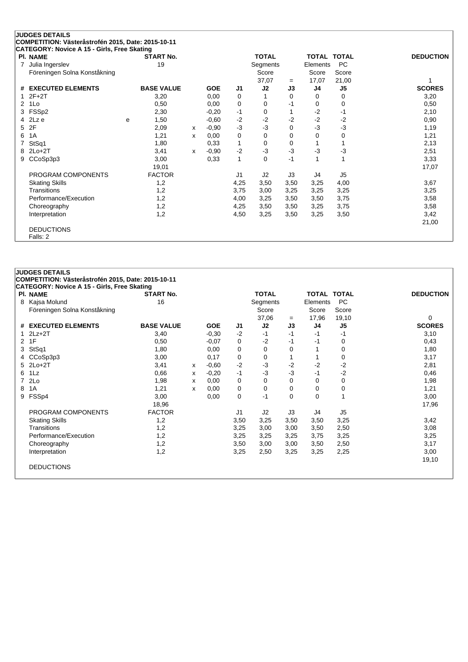|   | <b>JUDGES DETAILS</b>                                   |   |                   |   |            |                |              |          |                    |                |                  |
|---|---------------------------------------------------------|---|-------------------|---|------------|----------------|--------------|----------|--------------------|----------------|------------------|
|   | COMPETITION: Västeråstrofén 2015, Date: 2015-10-11      |   |                   |   |            |                |              |          |                    |                |                  |
|   | CATEGORY: Novice A 15 - Girls, Free Skating<br>PI. NAME |   | <b>START No.</b>  |   |            |                | <b>TOTAL</b> |          | <b>TOTAL TOTAL</b> |                | <b>DEDUCTION</b> |
| 7 | Julia Ingerslev                                         |   | 19                |   |            |                | Segments     |          | Elements           | <b>PC</b>      |                  |
|   | Föreningen Solna Konståkning                            |   |                   |   |            |                | Score        |          | Score              | Score          |                  |
|   |                                                         |   |                   |   |            |                | 37,07        | $=$      | 17,07              | 21,00          |                  |
| # | <b>EXECUTED ELEMENTS</b>                                |   | <b>BASE VALUE</b> |   | <b>GOE</b> | J1             | J2           | J3       | J4                 | J5             | <b>SCORES</b>    |
|   | $2F+2T$                                                 |   | 3,20              |   | 0,00       | 0              |              | 0        | 0                  | 0              | 3,20             |
| 2 | 1Lo                                                     |   | 0,50              |   | 0,00       | 0              | 0            | -1       | 0                  | 0              | 0,50             |
| 3 | FSSp2                                                   |   | 2,30              |   | $-0,20$    | $-1$           | 0            |          | $-2$               | $-1$           | 2,10             |
| 4 | 2Lz e                                                   | e | 1,50              |   | $-0.60$    | $-2$           | $-2$         | $-2$     | $-2$               | $-2$           | 0,90             |
| 5 | 2F                                                      |   | 2,09              | x | $-0.90$    | $-3$           | $-3$         | 0        | $-3$               | $-3$           | 1,19             |
| 6 | 1A                                                      |   | 1,21              | x | 0,00       | 0              | 0            | $\Omega$ | 0                  | 0              | 1,21             |
|   | StSq1                                                   |   | 1,80              |   | 0.33       | 1              | 0            | 0        |                    |                | 2,13             |
| 8 | $2Lo+2T$                                                |   | 3,41              | x | $-0.90$    | $-2$           | $-3$         | $-3$     | $-3$               | $-3$           | 2,51             |
| 9 | CCoSp3p3                                                |   | 3,00              |   | 0,33       | 1              | 0            | $-1$     | 1                  | 1              | 3,33             |
|   |                                                         |   | 19,01             |   |            |                |              |          |                    |                | 17,07            |
|   | PROGRAM COMPONENTS                                      |   | <b>FACTOR</b>     |   |            | J <sub>1</sub> | J2           | J3       | J4                 | J <sub>5</sub> |                  |
|   | <b>Skating Skills</b>                                   |   | 1,2               |   |            | 4,25           | 3,50         | 3,50     | 3,25               | 4,00           | 3,67             |
|   | Transitions                                             |   | 1,2               |   |            | 3,75           | 3,00         | 3,25     | 3,25               | 3,25           | 3,25             |
|   | Performance/Execution                                   |   | 1,2               |   |            | 4,00           | 3,25         | 3,50     | 3,50               | 3,75           | 3,58             |
|   | Choreography                                            |   | 1,2               |   |            | 4,25           | 3,50         | 3,50     | 3,25               | 3,75           | 3,58             |
|   | Interpretation                                          |   | 1,2               |   |            | 4,50           | 3,25         | 3,50     | 3,25               | 3,50           | 3,42             |
|   |                                                         |   |                   |   |            |                |              |          |                    |                | 21,00            |
|   | <b>DEDUCTIONS</b>                                       |   |                   |   |            |                |              |          |                    |                |                  |
|   | Falls: 2                                                |   |                   |   |            |                |              |          |                    |                |                  |

|                      | CATEGORY: Novice A 15 - Girls, Free Skating<br><b>PI. NAME</b> | <b>START No.</b>  |   |            |                | <b>TOTAL</b> |          | <b>TOTAL TOTAL</b> |                | <b>DEDUCTION</b> |
|----------------------|----------------------------------------------------------------|-------------------|---|------------|----------------|--------------|----------|--------------------|----------------|------------------|
| 8                    | Kajsa Molund                                                   | 16                |   |            |                | Segments     |          | Elements           | <b>PC</b>      |                  |
|                      | Föreningen Solna Konståkning                                   |                   |   |            |                | Score        |          | Score              | Score          |                  |
|                      |                                                                |                   |   |            |                | 37,06        | $=$      | 17,96              | 19,10          | 0                |
| #                    | <b>EXECUTED ELEMENTS</b>                                       | <b>BASE VALUE</b> |   | <b>GOE</b> | J1             | J2           | J3       | J4                 | J5             | <b>SCORES</b>    |
|                      | $2Lz+2T$                                                       | 3,40              |   | $-0,30$    | $-2$           | $-1$         | $-1$     | $-1$               | $-1$           | 3,10             |
| $\mathbf{2}^{\circ}$ | 1F                                                             | 0,50              |   | $-0.07$    | 0              | $-2$         | -1       | $-1$               | 0              | 0,43             |
| 3                    | StSq1                                                          | 1,80              |   | 0,00       | 0              | $\Omega$     | $\Omega$ |                    | 0              | 1,80             |
|                      | CCoSp3p3                                                       | 3,00              |   | 0,17       | 0              | 0            |          |                    | 0              | 3,17             |
| 5.                   | $2Lo+2T$                                                       | 3,41              | x | $-0.60$    | $-2$           | $-3$         | $-2$     | $-2$               | $-2$           | 2,81             |
| 6                    | 1Lz                                                            | 0,66              | x | $-0,20$    | $-1$           | $-3$         | $-3$     | $-1$               | $-2$           | 0,46             |
|                      | 2Lo                                                            | 1,98              | х | 0.00       | 0              | $\Omega$     | $\Omega$ | 0                  | 0              | 1,98             |
| 8                    | 1A                                                             | 1,21              | X | 0,00       | 0              | 0            | 0        | 0                  | 0              | 1,21             |
| 9                    | FSSp4                                                          | 3,00              |   | 0,00       | 0              | $-1$         | 0        | $\mathbf 0$        | 1              | 3,00             |
|                      |                                                                | 18,96             |   |            |                |              |          |                    |                | 17,96            |
|                      | PROGRAM COMPONENTS                                             | <b>FACTOR</b>     |   |            | J <sub>1</sub> | J2           | J3       | J4                 | J <sub>5</sub> |                  |
|                      | <b>Skating Skills</b>                                          | 1,2               |   |            | 3,50           | 3,25         | 3,50     | 3,50               | 3,25           | 3,42             |
|                      | Transitions                                                    | 1,2               |   |            | 3,25           | 3,00         | 3,00     | 3,50               | 2,50           | 3,08             |
|                      | Performance/Execution                                          | 1,2               |   |            | 3,25           | 3,25         | 3,25     | 3,75               | 3,25           | 3,25             |
|                      | Choreography                                                   | 1,2               |   |            | 3,50           | 3,00         | 3,00     | 3,50               | 2,50           | 3,17             |
|                      | Interpretation                                                 | 1,2               |   |            | 3,25           | 2,50         | 3,25     | 3,25               | 2,25           | 3,00             |
|                      |                                                                |                   |   |            |                |              |          |                    |                | 19,10            |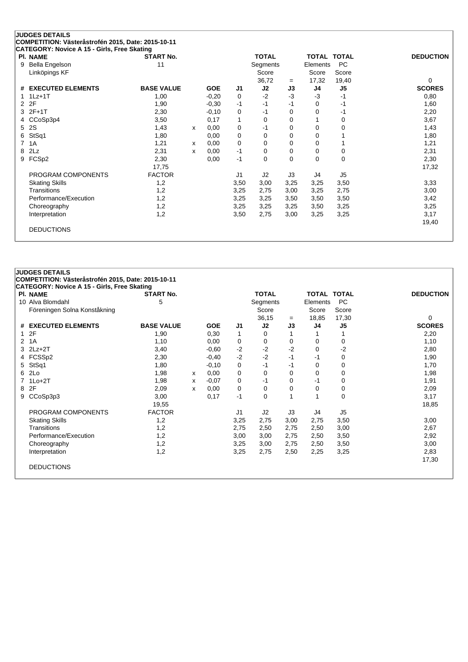| <b>PI. NAME</b>       | <b>START No.</b>  |   |            |                | <b>TOTAL</b> |          | TOTAL    | <b>TOTAL</b>   | <b>DEDUCTION</b> |
|-----------------------|-------------------|---|------------|----------------|--------------|----------|----------|----------------|------------------|
| Bella Engelson<br>9   | 11                |   |            |                | Segments     |          | Elements | <b>PC</b>      |                  |
| Linköpings KF         |                   |   |            |                | Score        |          | Score    | Score          |                  |
|                       |                   |   |            |                | 36,72        | $=$      | 17,32    | 19,40          | $\Omega$         |
| # EXECUTED ELEMENTS   | <b>BASE VALUE</b> |   | <b>GOE</b> | J <sub>1</sub> | J2           | J3       | J4       | J <sub>5</sub> | <b>SCORES</b>    |
| $1Lz+1T$              | 1,00              |   | $-0,20$    | 0              | $-2$         | $-3$     | $-3$     | -1             | 0,80             |
| 2F<br>$\overline{2}$  | 1,90              |   | $-0,30$    | $-1$           | $-1$         | $-1$     | 0        | $-1$           | 1,60             |
| $2F+1T$<br>3          | 2,30              |   | $-0,10$    | 0              | -1           | 0        | 0        | -1             | 2,20             |
| CCoSp3p4<br>4         | 3,50              |   | 0,17       | 1              | 0            | 0        |          | 0              | 3,67             |
| 2S<br>5.              | 1,43              | x | 0,00       | 0              | -1           | 0        | 0        | 0              | 1,43             |
| StSq1<br>6            | 1,80              |   | 0,00       | 0              | 0            | 0        | 0        |                | 1,80             |
| 7<br>1A               | 1,21              | x | 0,00       | 0              | 0            | 0        | 0        | 1              | 1,21             |
| 2Lz<br>8              | 2,31              | X | 0,00       | $-1$           | 0            | 0        | 0        | 0              | 2,31             |
| FCSp2<br>9            | 2,30              |   | 0,00       | $-1$           | 0            | $\Omega$ | 0        | $\mathbf 0$    | 2,30             |
|                       | 17,75             |   |            |                |              |          |          |                | 17,32            |
| PROGRAM COMPONENTS    | <b>FACTOR</b>     |   |            | J <sub>1</sub> | J2           | J3       | J4       | J <sub>5</sub> |                  |
| <b>Skating Skills</b> | 1,2               |   |            | 3,50           | 3,00         | 3,25     | 3,25     | 3,50           | 3,33             |
| Transitions           | 1,2               |   |            | 3,25           | 2,75         | 3,00     | 3,25     | 2,75           | 3,00             |
| Performance/Execution | 1,2               |   |            | 3,25           | 3,25         | 3,50     | 3,50     | 3,50           | 3,42             |
| Choreography          | 1,2               |   |            | 3,25           | 3,25         | 3,25     | 3,50     | 3,25           | 3,25             |
| Interpretation        | 1,2               |   |            | 3,50           | 2,75         | 3,00     | 3,25     | 3,25           | 3,17             |
|                       |                   |   |            |                |              |          |          |                | 19,40            |

|                | <b>JUDGES DETAILS</b>                              |                   |   |            |                |              |          |                    |                |                  |
|----------------|----------------------------------------------------|-------------------|---|------------|----------------|--------------|----------|--------------------|----------------|------------------|
|                | COMPETITION: Västeråstrofén 2015, Date: 2015-10-11 |                   |   |            |                |              |          |                    |                |                  |
|                | <b>CATEGORY: Novice A 15 - Girls, Free Skating</b> |                   |   |            |                |              |          |                    |                |                  |
|                | <b>PI. NAME</b>                                    | <b>START No.</b>  |   |            |                | <b>TOTAL</b> |          | <b>TOTAL TOTAL</b> |                | <b>DEDUCTION</b> |
|                | 10 Alva Blomdahl                                   | 5                 |   |            |                | Segments     |          | Elements           | <b>PC</b>      |                  |
|                | Föreningen Solna Konståkning                       |                   |   |            |                | Score        |          | Score              | Score          |                  |
|                |                                                    |                   |   |            |                | 36,15        | $=$      | 18,85              | 17,30          | 0                |
|                | # EXECUTED ELEMENTS                                | <b>BASE VALUE</b> |   | <b>GOE</b> | J1             | J2           | J3       | J4                 | J <sub>5</sub> | <b>SCORES</b>    |
| $\mathbf{1}$   | 2F                                                 | 1,90              |   | 0,30       | 1              | 0            | 1        |                    |                | 2,20             |
| $\overline{2}$ | 1A                                                 | 1,10              |   | 0,00       | 0              | 0            | $\Omega$ | 0                  | 0              | 1,10             |
| 3              | $2Lz+2T$                                           | 3,40              |   | $-0.60$    | $-2$           | $-2$         | $-2$     | 0                  | $-2$           | 2,80             |
|                | 4 FCSSp2                                           | 2,30              |   | $-0,40$    | $-2$           | $-2$         | $-1$     | $-1$               | 0              | 1,90             |
| 5.             | StSq1                                              | 1,80              |   | $-0,10$    | 0              | -1           | -1       | $\Omega$           | 0              | 1,70             |
| 6.             | 2Lo                                                | 1,98              | x | 0,00       | 0              | 0            | 0        | 0                  | 0              | 1,98             |
|                | 7 1Lo+2T                                           | 1,98              | X | $-0.07$    | 0              | -1           | 0        | -1                 | 0              | 1,91             |
| 8              | 2F                                                 | 2,09              | x | 0,00       | 0              | 0            | 0        | $\Omega$           | 0              | 2,09             |
| 9              | CCoSp3p3                                           | 3,00              |   | 0,17       | -1             | 0            |          |                    | 0              | 3,17             |
|                |                                                    | 19,55             |   |            |                |              |          |                    |                | 18,85            |
|                | PROGRAM COMPONENTS                                 | <b>FACTOR</b>     |   |            | J <sub>1</sub> | J2           | J3       | J4                 | J <sub>5</sub> |                  |
|                | <b>Skating Skills</b>                              | 1,2               |   |            | 3,25           | 2,75         | 3,00     | 2,75               | 3,50           | 3,00             |
|                | Transitions                                        | 1,2               |   |            | 2,75           | 2,50         | 2,75     | 2,50               | 3,00           | 2,67             |
|                | Performance/Execution                              | 1,2               |   |            | 3,00           | 3,00         | 2,75     | 2,50               | 3,50           | 2,92             |
|                | Choreography                                       | 1,2               |   |            | 3,25           | 3,00         | 2,75     | 2,50               | 3,50           | 3,00             |
|                | Interpretation                                     | 1,2               |   |            | 3,25           | 2,75         | 2,50     | 2,25               | 3,25           | 2,83             |
|                |                                                    |                   |   |            |                |              |          |                    |                | 17,30            |
|                | <b>DEDUCTIONS</b>                                  |                   |   |            |                |              |          |                    |                |                  |
|                |                                                    |                   |   |            |                |              |          |                    |                |                  |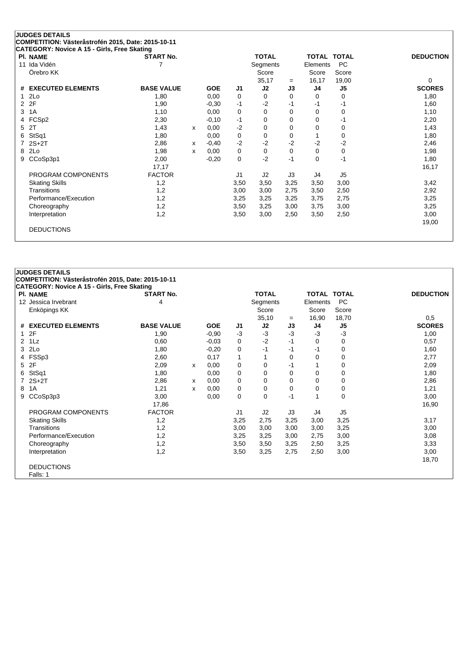|             | <b>JUDGES DETAILS</b>                                                                             |                   |   |            |                |              |          |                    |                |                  |
|-------------|---------------------------------------------------------------------------------------------------|-------------------|---|------------|----------------|--------------|----------|--------------------|----------------|------------------|
|             | COMPETITION: Västeråstrofén 2015, Date: 2015-10-11<br>CATEGORY: Novice A 15 - Girls, Free Skating |                   |   |            |                |              |          |                    |                |                  |
|             | <b>PI. NAME</b>                                                                                   | <b>START No.</b>  |   |            |                | <b>TOTAL</b> |          | <b>TOTAL TOTAL</b> |                | <b>DEDUCTION</b> |
|             | 11 Ida Vidén                                                                                      | 7                 |   |            |                | Segments     |          | Elements           | <b>PC</b>      |                  |
|             | Örebro KK                                                                                         |                   |   |            |                | Score        |          | Score              | Score          |                  |
|             |                                                                                                   |                   |   |            |                | 35,17        | $=$      | 16,17              | 19,00          | 0                |
| #           | <b>EXECUTED ELEMENTS</b>                                                                          | <b>BASE VALUE</b> |   | <b>GOE</b> | J <sub>1</sub> | J2           | J3       | J <sub>4</sub>     | J <sub>5</sub> | <b>SCORES</b>    |
| $\mathbf 1$ | 2Lo                                                                                               | 1,80              |   | 0,00       | 0              | 0            | 0        | 0                  | 0              | 1,80             |
|             | 2 2F                                                                                              | 1,90              |   | $-0,30$    | $-1$           | $-2$         | -1       | -1                 | -1             | 1,60             |
| 3           | 1A                                                                                                | 1,10              |   | 0,00       | 0              | $\Omega$     | 0        | 0                  | 0              | 1,10             |
| 4           | FCSp2                                                                                             | 2,30              |   | $-0,10$    | $-1$           | 0            | $\Omega$ | $\Omega$           | $-1$           | 2,20             |
| 5           | 2T                                                                                                | 1,43              | x | 0,00       | $-2$           | 0            | 0        | 0                  | 0              | 1,43             |
| 6           | StSq1                                                                                             | 1,80              |   | 0,00       | 0              | 0            | 0        | $\mathbf{1}$       | 0              | 1,80             |
|             | $2S+2T$                                                                                           | 2,86              | x | $-0,40$    | $-2$           | $-2$         | $-2$     | $-2$               | $-2$           | 2,46             |
| 8           | 2Lo                                                                                               | 1,98              | x | 0,00       | 0              | 0            | 0        | 0                  | 0              | 1,98             |
| 9           | CCoSp3p1                                                                                          | 2,00              |   | $-0,20$    | $\mathbf 0$    | $-2$         | $-1$     | $\Omega$           | $-1$           | 1,80             |
|             |                                                                                                   | 17,17             |   |            |                |              |          |                    |                | 16,17            |
|             | PROGRAM COMPONENTS                                                                                | <b>FACTOR</b>     |   |            | J <sub>1</sub> | J2           | J3       | J4                 | J <sub>5</sub> |                  |
|             | <b>Skating Skills</b>                                                                             | 1,2               |   |            | 3,50           | 3,50         | 3,25     | 3,50               | 3,00           | 3,42             |
|             | Transitions                                                                                       | 1,2               |   |            | 3,00           | 3,00         | 2,75     | 3,50               | 2,50           | 2,92             |
|             | Performance/Execution                                                                             | 1,2               |   |            | 3,25           | 3,25         | 3,25     | 3,75               | 2,75           | 3,25             |
|             | Choreography                                                                                      | 1,2               |   |            | 3,50           | 3,25         | 3,00     | 3,75               | 3,00           | 3,25             |
|             | Interpretation                                                                                    | 1,2               |   |            | 3,50           | 3,00         | 2,50     | 3,50               | 2,50           | 3,00             |
|             |                                                                                                   |                   |   |            |                |              |          |                    |                | 19,00            |
|             | <b>DEDUCTIONS</b>                                                                                 |                   |   |            |                |              |          |                    |                |                  |
|             |                                                                                                   |                   |   |            |                |              |          |                    |                |                  |

|                | <b>JUDGES DETAILS</b>                              |                   |   |            |                |              |      |                    |                |                  |
|----------------|----------------------------------------------------|-------------------|---|------------|----------------|--------------|------|--------------------|----------------|------------------|
|                | COMPETITION: Västeråstrofén 2015, Date: 2015-10-11 |                   |   |            |                |              |      |                    |                |                  |
|                | <b>CATEGORY: Novice A 15 - Girls, Free Skating</b> |                   |   |            |                |              |      |                    |                |                  |
|                | <b>PI. NAME</b>                                    | <b>START No.</b>  |   |            |                | <b>TOTAL</b> |      | <b>TOTAL TOTAL</b> |                | <b>DEDUCTION</b> |
|                | 12 Jessica Irvebrant                               | 4                 |   |            |                | Segments     |      | Elements           | <b>PC</b>      |                  |
|                | Enköpings KK                                       |                   |   |            |                | Score        |      | Score              | Score          |                  |
|                |                                                    |                   |   |            |                | 35,10        | $=$  | 16,90              | 18,70          | 0,5              |
|                | # EXECUTED ELEMENTS                                | <b>BASE VALUE</b> |   | <b>GOE</b> | J1             | J2           | J3   | J4                 | J <sub>5</sub> | <b>SCORES</b>    |
| $\mathbf{1}$   | 2F                                                 | 1,90              |   | $-0.90$    | $-3$           | $-3$         | $-3$ | $-3$               | $-3$           | 1,00             |
| $\overline{2}$ | 1Lz                                                | 0,60              |   | $-0.03$    | 0              | $-2$         | $-1$ | 0                  | 0              | 0,57             |
| 3              | 2Lo                                                | 1,80              |   | $-0,20$    | 0              | $-1$         | -1   | $-1$               | 0              | 1,60             |
|                | 4 FSSp3                                            | 2,60              |   | 0,17       | 1              |              | 0    | $\Omega$           | 0              | 2,77             |
| 5              | 2F                                                 | 2,09              | x | 0,00       | $\mathbf 0$    | $\mathbf 0$  | $-1$ |                    | 0              | 2,09             |
| 6.             | StSq1                                              | 1,80              |   | 0,00       | 0              | 0            | 0    | 0                  | 0              | 1,80             |
| $\overline{7}$ | $2S+2T$                                            | 2,86              | x | 0,00       | 0              | 0            | 0    | 0                  | 0              | 2,86             |
| 8              | 1A                                                 | 1,21              | x | 0,00       | $\mathbf 0$    | $\mathbf 0$  | 0    | $\Omega$           | 0              | 1,21             |
| 9              | CCoSp3p3                                           | 3,00              |   | 0,00       | 0              | $\Omega$     | $-1$ | 1                  | 0              | 3,00             |
|                |                                                    | 17,86             |   |            |                |              |      |                    |                | 16,90            |
|                | PROGRAM COMPONENTS                                 | <b>FACTOR</b>     |   |            | J <sub>1</sub> | J2           | J3   | J4                 | J <sub>5</sub> |                  |
|                | <b>Skating Skills</b>                              | 1,2               |   |            | 3,25           | 2,75         | 3,25 | 3,00               | 3,25           | 3,17             |
|                | Transitions                                        | 1,2               |   |            | 3,00           | 3,00         | 3,00 | 3,00               | 3,25           | 3,00             |
|                | Performance/Execution                              | 1,2               |   |            | 3,25           | 3,25         | 3,00 | 2,75               | 3,00           | 3,08             |
|                | Choreography                                       | 1,2               |   |            | 3,50           | 3,50         | 3,25 | 2,50               | 3,25           | 3,33             |
|                | Interpretation                                     | 1,2               |   |            | 3,50           | 3,25         | 2,75 | 2,50               | 3,00           | 3,00             |
|                |                                                    |                   |   |            |                |              |      |                    |                | 18,70            |
|                | <b>DEDUCTIONS</b>                                  |                   |   |            |                |              |      |                    |                |                  |
|                | Falls: 1                                           |                   |   |            |                |              |      |                    |                |                  |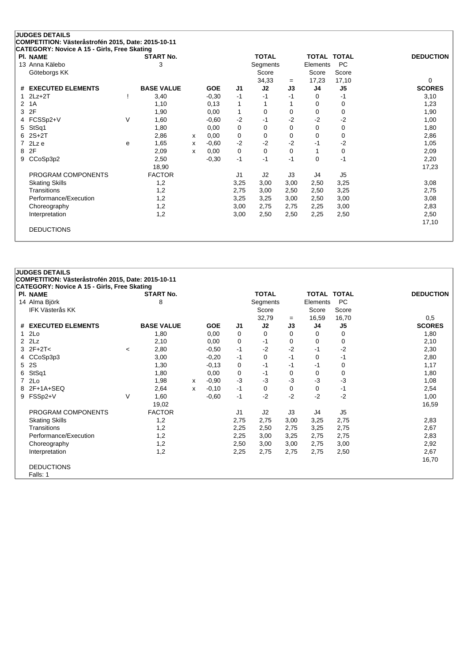| PI. NAME                      |        | <b>START No.</b>  |   |            |                | <b>TOTAL</b> |          | <b>TOTAL</b> | <b>TOTAL</b>   | <b>DEDUCTION</b> |
|-------------------------------|--------|-------------------|---|------------|----------------|--------------|----------|--------------|----------------|------------------|
| 13 Anna Kälebo                |        | 3                 |   |            |                | Segments     |          | Elements     | <b>PC</b>      |                  |
| Göteborgs KK                  |        |                   |   |            |                | Score        |          | Score        | Score          |                  |
|                               |        |                   |   |            |                | 34,33        | $=$      | 17,23        | 17,10          | $\Omega$         |
| <b>EXECUTED ELEMENTS</b><br># |        | <b>BASE VALUE</b> |   | <b>GOE</b> | J <sub>1</sub> | J2           | J3       | J4           | J <sub>5</sub> | <b>SCORES</b>    |
| $2Lz+2T$                      |        | 3,40              |   | $-0,30$    | $-1$           | -1           | $-1$     | 0            | -1             | 3,10             |
| 1A<br>$\mathcal{P}$           |        | 1,10              |   | 0,13       | 1              |              |          | 0            | 0              | 1,23             |
| 2F<br>3                       |        | 1,90              |   | 0,00       | 1              | 0            | 0        | 0            | 0              | 1,90             |
| FCSSp2+V<br>4                 | $\vee$ | 1,60              |   | $-0.60$    | $-2$           | -1           | $-2$     | $-2$         | $-2$           | 1,00             |
| StSq1<br>5                    |        | 1,80              |   | 0,00       | 0              | 0            | $\Omega$ | 0            | 0              | 1,80             |
| $2S+2T$<br>6                  |        | 2,86              | X | 0,00       | 0              | 0            | 0        | 0            | 0              | 2,86             |
| 2Lz e                         | е      | 1,65              | x | $-0.60$    | $-2$           | -2           | -2       | -1           | $-2$           | 1,05             |
| 2F<br>8                       |        | 2,09              | x | 0,00       | 0              | 0            | 0        |              | $\mathbf 0$    | 2,09             |
| CCoSp3p2<br>9                 |        | 2,50              |   | $-0,30$    | $-1$           | $-1$         | $-1$     | 0            | $-1$           | 2,20             |
|                               |        | 18,90             |   |            |                |              |          |              |                | 17,23            |
| PROGRAM COMPONENTS            |        | <b>FACTOR</b>     |   |            | J <sub>1</sub> | J2           | J3       | J4           | J <sub>5</sub> |                  |
| <b>Skating Skills</b>         |        | 1,2               |   |            | 3,25           | 3,00         | 3,00     | 2,50         | 3,25           | 3,08             |
| Transitions                   |        | 1,2               |   |            | 2,75           | 3,00         | 2,50     | 2,50         | 3,25           | 2,75             |
| Performance/Execution         |        | 1,2               |   |            | 3,25           | 3,25         | 3,00     | 2,50         | 3,00           | 3,08             |
| Choreography                  |        | 1,2               |   |            | 3,00           | 2,75         | 2,75     | 2,25         | 3,00           | 2,83             |
| Interpretation                |        | 1,2               |   |            | 3,00           | 2,50         | 2,50     | 2,25         | 2,50           | 2,50             |
|                               |        |                   |   |            |                |              |          |              |                | 17,10            |

|                | <b>JUDGES DETAILS</b>                              |        |                   |   |            |                |              |          |                    |                |                  |
|----------------|----------------------------------------------------|--------|-------------------|---|------------|----------------|--------------|----------|--------------------|----------------|------------------|
|                | COMPETITION: Västeråstrofén 2015, Date: 2015-10-11 |        |                   |   |            |                |              |          |                    |                |                  |
|                | <b>CATEGORY: Novice A 15 - Girls, Free Skating</b> |        |                   |   |            |                |              |          |                    |                |                  |
|                | <b>PI. NAME</b>                                    |        | <b>START No.</b>  |   |            |                | <b>TOTAL</b> |          | <b>TOTAL TOTAL</b> |                | <b>DEDUCTION</b> |
|                | 14 Alma Björk                                      |        | 8                 |   |            |                | Segments     |          | Elements           | <b>PC</b>      |                  |
|                | <b>IFK Västerås KK</b>                             |        |                   |   |            |                | Score        |          | Score              | Score          |                  |
|                |                                                    |        |                   |   |            |                | 32,79        | $=$      | 16,59              | 16,70          | 0,5              |
|                | # EXECUTED ELEMENTS                                |        | <b>BASE VALUE</b> |   | <b>GOE</b> | J1             | J2           | J3       | J4                 | J <sub>5</sub> | <b>SCORES</b>    |
| $\mathbf{1}$   | 2Lo                                                |        | 1,80              |   | 0.00       | 0              | 0            | 0        | $\Omega$           | 0              | 1,80             |
|                | $2$ $2$ Lz                                         |        | 2,10              |   | 0,00       | 0              | -1           | 0        | $\mathbf 0$        | 0              | 2,10             |
|                | $3 \ 2F + 2T <$                                    | $\,<$  | 2,80              |   | $-0.50$    | $-1$           | $-2$         | $-2$     | $-1$               | $-2$           | 2,30             |
|                | 4 CCoSp3p3                                         |        | 3,00              |   | $-0,20$    | $-1$           | 0            | $-1$     | $\Omega$           | $-1$           | 2,80             |
| 5              | <b>2S</b>                                          |        | 1,30              |   | $-0,13$    | 0              | $-1$         | $-1$     | $-1$               | 0              | 1,17             |
| 6              | StSq1                                              |        | 1,80              |   | 0,00       | 0              | -1           | 0        | $\mathbf 0$        | 0              | 1,80             |
| $\overline{7}$ | 2Lo                                                |        | 1,98              | x | $-0,90$    | $-3$           | -3           | $-3$     | $-3$               | $-3$           | 1,08             |
| 8              | $2F+1A+SEQ$                                        |        | 2,64              | x | $-0,10$    | $-1$           | $\mathbf 0$  | $\Omega$ | $\mathbf 0$        | $-1$           | 2,54             |
| 9              | FSSp2+V                                            | $\vee$ | 1,60              |   | $-0.60$    | $-1$           | $-2$         | $-2$     | $-2$               | $-2$           | 1,00             |
|                |                                                    |        | 19,02             |   |            |                |              |          |                    |                | 16,59            |
|                | PROGRAM COMPONENTS                                 |        | <b>FACTOR</b>     |   |            | J <sub>1</sub> | J2           | J3       | J4                 | J <sub>5</sub> |                  |
|                | <b>Skating Skills</b>                              |        | 1,2               |   |            | 2,75           | 2,75         | 3,00     | 3,25               | 2,75           | 2,83             |
|                | Transitions                                        |        | 1,2               |   |            | 2,25           | 2,50         | 2,75     | 3,25               | 2,75           | 2,67             |
|                | Performance/Execution                              |        | 1,2               |   |            | 2,25           | 3,00         | 3,25     | 2,75               | 2,75           | 2,83             |
|                | Choreography                                       |        | 1,2               |   |            | 2,50           | 3,00         | 3,00     | 2,75               | 3,00           | 2,92             |
|                | Interpretation                                     |        | 1,2               |   |            | 2,25           | 2,75         | 2,75     | 2,75               | 2,50           | 2,67             |
|                |                                                    |        |                   |   |            |                |              |          |                    |                | 16,70            |
|                | <b>DEDUCTIONS</b>                                  |        |                   |   |            |                |              |          |                    |                |                  |
|                | Falls: 1                                           |        |                   |   |            |                |              |          |                    |                |                  |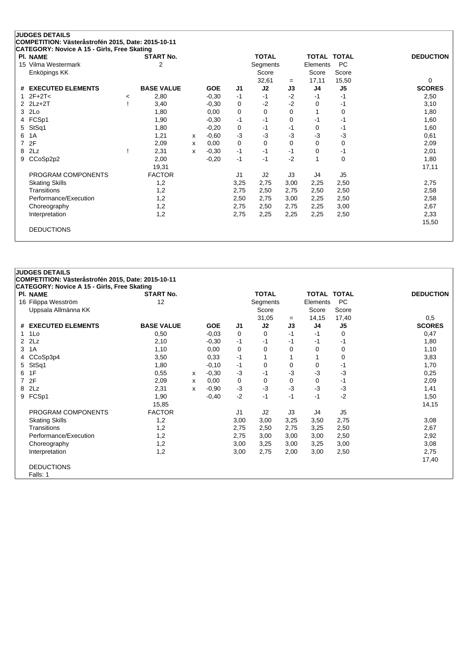| PI. NAME                      |         | <b>START No.</b>  |   |            |                | <b>TOTAL</b>      |          | TOTAL TOTAL       |                    | <b>DEDUCTION</b> |
|-------------------------------|---------|-------------------|---|------------|----------------|-------------------|----------|-------------------|--------------------|------------------|
| 15 Vilma Westermark           |         | 2                 |   |            |                | Segments<br>Score |          | Elements<br>Score | <b>PC</b><br>Score |                  |
| Enköpings KK                  |         |                   |   |            |                | 32,61             | $=$      | 17,11             | 15,50              | 0                |
| <b>EXECUTED ELEMENTS</b><br># |         | <b>BASE VALUE</b> |   | <b>GOE</b> | J1             | J2                | J3       | J <sub>4</sub>    | J <sub>5</sub>     | <b>SCORES</b>    |
| $2F+2T<$<br>1                 | $\,<\,$ | 2,80              |   | $-0,30$    | $-1$           | $-1$              | $-2$     | -1                | -1                 | 2,50             |
| $2$ $2Lz+2T$                  |         | 3,40              |   | $-0,30$    | 0              | $-2$              | $-2$     | 0                 | -1                 | 3,10             |
| 2Lo<br>3                      |         | 1,80              |   | 0,00       | 0              | $\Omega$          | $\Omega$ |                   | 0                  | 1,80             |
| FCSp1<br>4                    |         | 1,90              |   | $-0,30$    | $-1$           | $-1$              | $\Omega$ | -1                | -1                 | 1,60             |
| StSq1<br>5                    |         | 1,80              |   | $-0,20$    | 0              | $-1$              | -1       | 0                 | -1                 | 1,60             |
| 1A<br>6                       |         | 1,21              | x | $-0.60$    | $-3$           | $-3$              | $-3$     | $-3$              | -3                 | 0,61             |
| 2F<br>7                       |         | 2,09              | x | 0,00       | 0              | $\Omega$          | $\Omega$ | 0                 | 0                  | 2,09             |
| 2Lz<br>8                      |         | 2,31              | x | $-0.30$    | $-1$           | $-1$              | $-1$     | 0                 | $-1$               | 2,01             |
| CCoSp2p2<br>9                 |         | 2,00              |   | $-0,20$    | $-1$           | $-1$              | $-2$     | 1                 | $\mathbf 0$        | 1,80             |
|                               |         | 19,31             |   |            |                |                   |          |                   |                    | 17,11            |
| PROGRAM COMPONENTS            |         | <b>FACTOR</b>     |   |            | J <sub>1</sub> | J2                | J3       | J4                | J <sub>5</sub>     |                  |
| <b>Skating Skills</b>         |         | 1,2               |   |            | 3,25           | 2,75              | 3,00     | 2,25              | 2,50               | 2,75             |
| Transitions                   |         | 1,2               |   |            | 2,75           | 2,50              | 2,75     | 2,50              | 2,50               | 2,58             |
| Performance/Execution         |         | 1,2               |   |            | 2,50           | 2,75              | 3,00     | 2,25              | 2,50               | 2,58             |
| Choreography                  |         | 1,2               |   |            | 2,75           | 2,50              | 2,75     | 2,25              | 3,00               | 2,67             |
| Interpretation                |         | 1,2               |   |            | 2,75           | 2,25              | 2,25     | 2,25              | 2,50               | 2,33             |
|                               |         |                   |   |            |                |                   |          |                   |                    | 15,50            |

|                | <b>JUDGES DETAILS</b>                              |                   |   |            |                |              |      |                    |                |                  |
|----------------|----------------------------------------------------|-------------------|---|------------|----------------|--------------|------|--------------------|----------------|------------------|
|                | COMPETITION: Västeråstrofén 2015, Date: 2015-10-11 |                   |   |            |                |              |      |                    |                |                  |
|                | <b>CATEGORY: Novice A 15 - Girls, Free Skating</b> |                   |   |            |                |              |      |                    |                |                  |
|                | <b>PI. NAME</b>                                    | <b>START No.</b>  |   |            |                | <b>TOTAL</b> |      | <b>TOTAL TOTAL</b> |                | <b>DEDUCTION</b> |
|                | 16 Filippa Wesström                                | 12                |   |            |                | Segments     |      | Elements           | <b>PC</b>      |                  |
|                | Uppsala Allmänna KK                                |                   |   |            |                | Score        |      | Score              | Score          |                  |
|                |                                                    |                   |   |            |                | 31,05        | $=$  | 14,15              | 17,40          | 0,5              |
|                | # EXECUTED ELEMENTS                                | <b>BASE VALUE</b> |   | <b>GOE</b> | J1             | J2           | J3   | J4                 | J <sub>5</sub> | <b>SCORES</b>    |
| 1              | 1Lo                                                | 0,50              |   | $-0.03$    | 0              | $\Omega$     | $-1$ | $-1$               | 0              | 0,47             |
| $\overline{2}$ | 2Lz                                                | 2,10              |   | $-0.30$    | $-1$           | -1           | $-1$ | -1                 | -1             | 1,80             |
| 3              | 1A                                                 | 1,10              |   | 0,00       | 0              | 0            | 0    | 0                  | 0              | 1,10             |
|                | CCoSp3p4                                           | 3,50              |   | 0.33       | $-1$           | 1            |      |                    | 0              | 3,83             |
| 5              | StSq1                                              | 1,80              |   | $-0,10$    | $-1$           | 0            | 0    | 0                  | $-1$           | 1,70             |
| 6              | 1F                                                 | 0,55              | X | $-0,30$    | $-3$           | -1           | -3   | $-3$               | $-3$           | 0,25             |
| $\overline{7}$ | 2F                                                 | 2,09              | X | 0,00       | 0              | 0            | 0    | 0                  | $-1$           | 2,09             |
| 8              | 2Lz                                                | 2,31              | х | $-0,90$    | $-3$           | $-3$         | $-3$ | $-3$               | $-3$           | 1,41             |
| 9              | FCSp1                                              | 1,90              |   | $-0,40$    | $-2$           | $-1$         | $-1$ | $-1$               | $-2$           | 1,50             |
|                |                                                    | 15,85             |   |            |                |              |      |                    |                | 14,15            |
|                | PROGRAM COMPONENTS                                 | <b>FACTOR</b>     |   |            | J <sub>1</sub> | J2           | J3   | J4                 | J <sub>5</sub> |                  |
|                | <b>Skating Skills</b>                              | 1,2               |   |            | 3,00           | 3,00         | 3,25 | 3,50               | 2,75           | 3,08             |
|                | Transitions                                        | 1,2               |   |            | 2,75           | 2,50         | 2,75 | 3,25               | 2,50           | 2,67             |
|                | Performance/Execution                              | 1,2               |   |            | 2,75           | 3,00         | 3,00 | 3,00               | 2,50           | 2,92             |
|                | Choreography                                       | 1,2               |   |            | 3,00           | 3,25         | 3,00 | 3,25               | 3,00           | 3,08             |
|                | Interpretation                                     | 1,2               |   |            | 3,00           | 2,75         | 2,00 | 3,00               | 2,50           | 2,75             |
|                |                                                    |                   |   |            |                |              |      |                    |                | 17,40            |
|                | <b>DEDUCTIONS</b>                                  |                   |   |            |                |              |      |                    |                |                  |
|                | Falls: 1                                           |                   |   |            |                |              |      |                    |                |                  |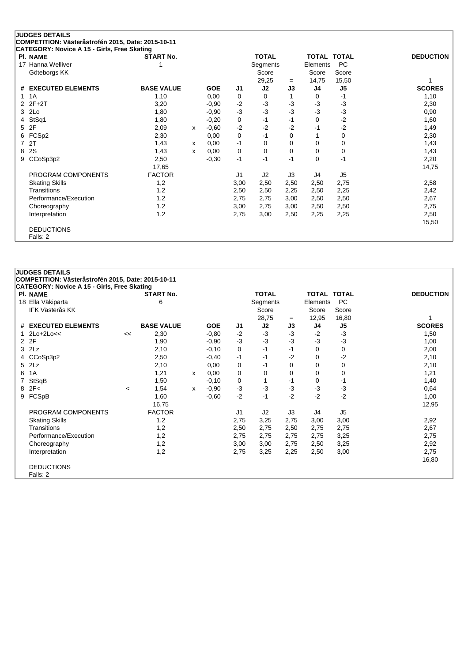|    | <b>JUDGES DETAILS</b>                                                                             |                   |   |            |                |              |          |                    |                |                  |
|----|---------------------------------------------------------------------------------------------------|-------------------|---|------------|----------------|--------------|----------|--------------------|----------------|------------------|
|    | COMPETITION: Västeråstrofén 2015, Date: 2015-10-11<br>CATEGORY: Novice A 15 - Girls, Free Skating |                   |   |            |                |              |          |                    |                |                  |
|    | PI. NAME                                                                                          | <b>START No.</b>  |   |            |                | <b>TOTAL</b> |          | <b>TOTAL TOTAL</b> |                | <b>DEDUCTION</b> |
| 17 | Hanna Welliver                                                                                    |                   |   |            |                | Segments     |          | Elements           | <b>PC</b>      |                  |
|    | Göteborgs KK                                                                                      |                   |   |            |                | Score        |          | Score              | Score          |                  |
|    |                                                                                                   |                   |   |            |                | 29,25        | $=$      | 14,75              | 15,50          |                  |
| #  | <b>EXECUTED ELEMENTS</b>                                                                          | <b>BASE VALUE</b> |   | <b>GOE</b> | J1             | J2           | J3       | J4                 | J5             | <b>SCORES</b>    |
| 1  | 1A                                                                                                | 1,10              |   | 0,00       | 0              | 0            |          | 0                  | -1             | 1,10             |
|    | $2$ $2F+2T$                                                                                       | 3,20              |   | $-0.90$    | $-2$           | $-3$         | $-3$     | $-3$               | $-3$           | 2,30             |
| 3  | 2Lo                                                                                               | 1,80              |   | $-0,90$    | $-3$           | $-3$         | $-3$     | $-3$               | $-3$           | 0,90             |
| 4  | StSq1                                                                                             | 1,80              |   | $-0,20$    | 0              | $-1$         | $-1$     | 0                  | $-2$           | 1,60             |
| 5  | 2F                                                                                                | 2,09              | x | $-0.60$    | $-2$           | $-2$         | $-2$     | -1                 | $-2$           | 1,49             |
| 6  | FCSp2                                                                                             | 2,30              |   | 0,00       | 0              | $-1$         | 0        |                    | 0              | 2,30             |
|    | 2T                                                                                                | 1,43              | x | 0,00       | $-1$           | 0            | 0        | 0                  | 0              | 1,43             |
| 8  | 2S                                                                                                | 1,43              | x | 0,00       | 0              | $\Omega$     | $\Omega$ | 0                  | 0              | 1,43             |
| 9  | CCoSp3p2                                                                                          | 2,50              |   | $-0,30$    | $-1$           | $-1$         | $-1$     | 0                  | $-1$           | 2,20             |
|    |                                                                                                   | 17,65             |   |            |                |              |          |                    |                | 14,75            |
|    | PROGRAM COMPONENTS                                                                                | <b>FACTOR</b>     |   |            | J <sub>1</sub> | J2           | J3       | J4                 | J <sub>5</sub> |                  |
|    | <b>Skating Skills</b>                                                                             | 1,2               |   |            | 3,00           | 2,50         | 2,50     | 2,50               | 2,75           | 2,58             |
|    | Transitions                                                                                       | 1,2               |   |            | 2,50           | 2,50         | 2,25     | 2,50               | 2,25           | 2,42             |
|    | Performance/Execution                                                                             | 1,2               |   |            | 2,75           | 2,75         | 3,00     | 2,50               | 2,50           | 2,67             |
|    | Choreography                                                                                      | 1,2               |   |            | 3,00           | 2,75         | 3,00     | 2,50               | 2,50           | 2,75             |
|    | Interpretation                                                                                    | 1,2               |   |            | 2,75           | 3,00         | 2,50     | 2,25               | 2,25           | 2,50             |
|    |                                                                                                   |                   |   |            |                |              |          |                    |                | 15,50            |
|    | <b>DEDUCTIONS</b>                                                                                 |                   |   |            |                |              |          |                    |                |                  |
|    | Falls: 2                                                                                          |                   |   |            |                |              |          |                    |                |                  |

|                | <b>JUDGES DETAILS</b>                                                 |         |                   |   |            |                |                   |           |                    |                |                  |
|----------------|-----------------------------------------------------------------------|---------|-------------------|---|------------|----------------|-------------------|-----------|--------------------|----------------|------------------|
|                | COMPETITION: Västeråstrofén 2015, Date: 2015-10-11                    |         |                   |   |            |                |                   |           |                    |                |                  |
|                | <b>CATEGORY: Novice A 15 - Girls, Free Skating</b><br><b>PI. NAME</b> |         | <b>START No.</b>  |   |            |                | <b>TOTAL</b>      |           | <b>TOTAL TOTAL</b> |                | <b>DEDUCTION</b> |
|                |                                                                       |         | 6                 |   |            |                |                   |           | Elements           | <b>PC</b>      |                  |
|                | 18 Ella Väkiparta<br><b>IFK Västerås KK</b>                           |         |                   |   |            |                | Segments<br>Score |           | Score              | Score          |                  |
|                |                                                                       |         |                   |   |            |                | 28,75             |           | 12,95              | 16,80          |                  |
| #              | <b>EXECUTED ELEMENTS</b>                                              |         | <b>BASE VALUE</b> |   | <b>GOE</b> | J1             | J2                | $=$<br>J3 | J4                 | J5             | <b>SCORES</b>    |
|                | $2Lo+2Lo<<$                                                           | <<      | 2,30              |   | $-0.80$    | $-2$           | $-3$              | $-3$      | $-2$               | $-3$           | 1,50             |
| $\overline{2}$ | 2F                                                                    |         | 1,90              |   | $-0.90$    | $-3$           | $-3$              | -3        | $-3$               | $-3$           | 1,00             |
| 3              | 2Lz                                                                   |         | 2,10              |   | $-0,10$    | 0              | -1                | -1        | 0                  | 0              | 2,00             |
| 4              | CCoSp3p2                                                              |         | 2,50              |   | $-0.40$    | $-1$           | -1                | -2        | 0                  | $-2$           | 2,10             |
| 5              | 2Lz                                                                   |         | 2,10              |   | 0,00       | 0              | -1                | $\Omega$  | $\Omega$           | 0              | 2,10             |
| 6              | 1A                                                                    |         | 1,21              | x | 0,00       | 0              | 0                 | 0         | 0                  | 0              | 1,21             |
| 7              | <b>StSqB</b>                                                          |         | 1,50              |   | $-0,10$    | 0              | 1                 | -1        | 0                  | $-1$           | 1,40             |
| 8              | 2F<                                                                   | $\prec$ | 1,54              | X | $-0.90$    | $-3$           | $-3$              | -3        | -3                 | -3             | 0,64             |
| 9              | FCSpB                                                                 |         | 1,60              |   | $-0,60$    | $-2$           | $-1$              | $-2$      | $-2$               | $-2$           | 1,00             |
|                |                                                                       |         | 16,75             |   |            |                |                   |           |                    |                | 12,95            |
|                | PROGRAM COMPONENTS                                                    |         | <b>FACTOR</b>     |   |            | J <sub>1</sub> | J2                | J3        | J4                 | J <sub>5</sub> |                  |
|                | <b>Skating Skills</b>                                                 |         | 1,2               |   |            | 2,75           | 3,25              | 2,75      | 3,00               | 3,00           | 2,92             |
|                | Transitions                                                           |         | 1,2               |   |            | 2,50           | 2,75              | 2,50      | 2,75               | 2,75           | 2,67             |
|                | Performance/Execution                                                 |         | 1,2               |   |            | 2,75           | 2,75              | 2,75      | 2,75               | 3,25           | 2,75             |
|                | Choreography                                                          |         | 1,2               |   |            | 3,00           | 3,00              | 2,75      | 2,50               | 3,25           | 2,92             |
|                | Interpretation                                                        |         | 1,2               |   |            | 2,75           | 3,25              | 2,25      | 2,50               | 3,00           | 2,75             |
|                |                                                                       |         |                   |   |            |                |                   |           |                    |                | 16,80            |
|                | <b>DEDUCTIONS</b>                                                     |         |                   |   |            |                |                   |           |                    |                |                  |
|                | Falls: 2                                                              |         |                   |   |            |                |                   |           |                    |                |                  |